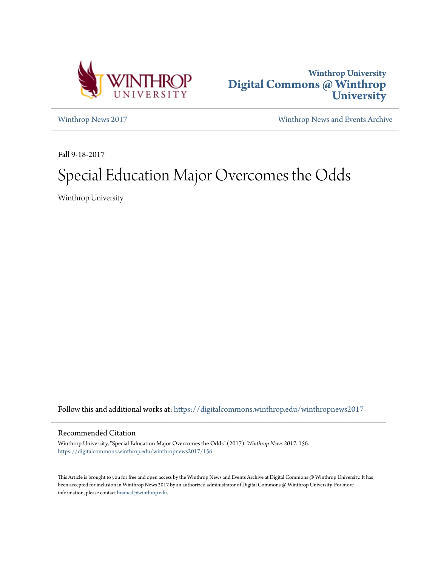



[Winthrop News 2017](https://digitalcommons.winthrop.edu/winthropnews2017?utm_source=digitalcommons.winthrop.edu%2Fwinthropnews2017%2F156&utm_medium=PDF&utm_campaign=PDFCoverPages) [Winthrop News and Events Archive](https://digitalcommons.winthrop.edu/winthropnewsarchives?utm_source=digitalcommons.winthrop.edu%2Fwinthropnews2017%2F156&utm_medium=PDF&utm_campaign=PDFCoverPages)

Fall 9-18-2017

## Special Education Major Overcomes the Odds

Winthrop University

Follow this and additional works at: [https://digitalcommons.winthrop.edu/winthropnews2017](https://digitalcommons.winthrop.edu/winthropnews2017?utm_source=digitalcommons.winthrop.edu%2Fwinthropnews2017%2F156&utm_medium=PDF&utm_campaign=PDFCoverPages)

## Recommended Citation

Winthrop University, "Special Education Major Overcomes the Odds" (2017). *Winthrop News 2017*. 156. [https://digitalcommons.winthrop.edu/winthropnews2017/156](https://digitalcommons.winthrop.edu/winthropnews2017/156?utm_source=digitalcommons.winthrop.edu%2Fwinthropnews2017%2F156&utm_medium=PDF&utm_campaign=PDFCoverPages)

This Article is brought to you for free and open access by the Winthrop News and Events Archive at Digital Commons @ Winthrop University. It has been accepted for inclusion in Winthrop News 2017 by an authorized administrator of Digital Commons @ Winthrop University. For more information, please contact [bramed@winthrop.edu](mailto:bramed@winthrop.edu).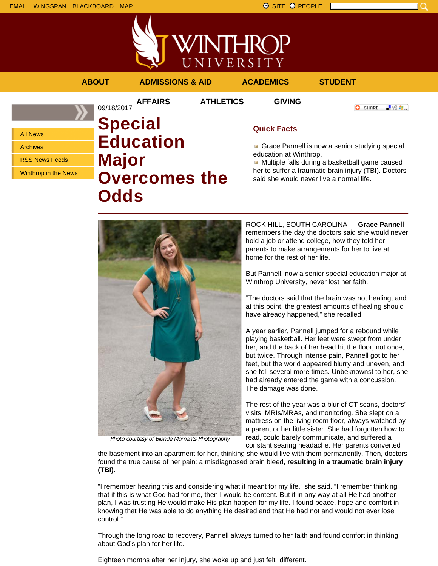

**INTHROP** UNIVERSITY



**Odds**

Photo courtesy of Blonde Moments Photography

ROCK HILL, SOUTH CAROLINA — **Grace Pannell** remembers the day the doctors said she would never hold a job or attend college, how they told her parents to make arrangements for her to live at home for the rest of her life.

said she would never live a normal life.

But Pannell, now a senior special education major at Winthrop University, never lost her faith.

"The doctors said that the brain was not healing, and at this point, the greatest amounts of healing should have already happened," she recalled.

A year earlier, Pannell jumped for a rebound while playing basketball. Her feet were swept from under her, and the back of her head hit the floor, not once, but twice. Through intense pain, Pannell got to her feet, but the world appeared blurry and uneven, and she fell several more times. Unbeknownst to her, she had already entered the game with a concussion. The damage was done.

The rest of the year was a blur of CT scans, doctors' visits, MRIs/MRAs, and monitoring. She slept on a mattress on the living room floor, always watched by a parent or her little sister. She had forgotten how to read, could barely communicate, and suffered a constant searing headache. Her parents converted

the basement into an apartment for her, thinking she would live with them permanently. Then, doctors found the true cause of her pain: a misdiagnosed brain bleed, **resulting in a traumatic brain injury (TBI)**.

"I remember hearing this and considering what it meant for my life," she said. "I remember thinking that if this is what God had for me, then I would be content. But if in any way at all He had another plan, I was trusting He would make His plan happen for my life. I found peace, hope and comfort in knowing that He was able to do anything He desired and that He had not and would not ever lose control."

Through the long road to recovery, Pannell always turned to her faith and found comfort in thinking about God's plan for her life.

Eighteen months after her injury, she woke up and just felt "different."